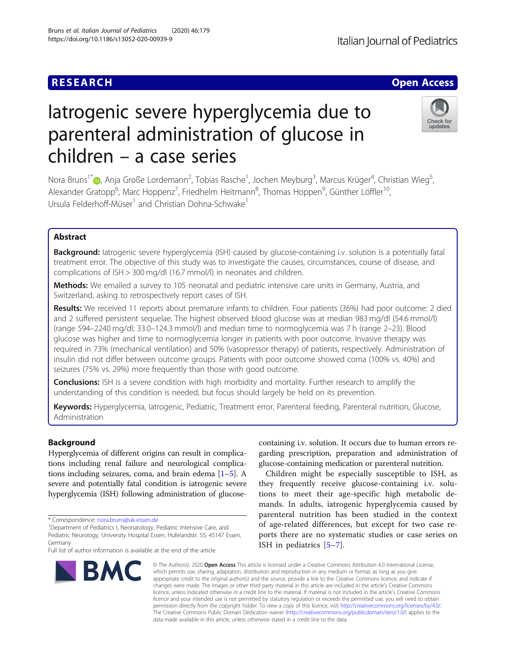# Iatrogenic severe hyperglycemia due to parenteral administration of glucose in children – a case series

Nora Bruns<sup>1\*</sup>�, Anja Große Lordemann<sup>2</sup>, Tobias Rasche<sup>1</sup>, Jochen Meyburg<sup>3</sup>, Marcus Krüger<sup>4</sup>, Christian Wieg<sup>5</sup> , Alexander Gratopp<sup>6</sup>, Marc Hoppenz<sup>7</sup>, Friedhelm Heitmann<sup>8</sup>, Thomas Hoppen<sup>9</sup>, Günther Löffler<sup>10</sup>, Ursula Felderhoff-Müser<sup>1</sup> and Christian Dohna-Schwake<sup>1</sup>

# Abstract

**Background:** latrogenic severe hyperglycemia (ISH) caused by glucose-containing i.v. solution is a potentially fatal treatment error. The objective of this study was to investigate the causes, circumstances, course of disease, and complications of ISH > 300 mg/dl (16.7 mmol/l) in neonates and children.

Methods: We emailed a survey to 105 neonatal and pediatric intensive care units in Germany, Austria, and Switzerland, asking to retrospectively report cases of ISH.

Results: We received 11 reports about premature infants to children. Four patients (36%) had poor outcome: 2 died and 2 suffered persistent sequelae. The highest observed blood glucose was at median 983 mg/dl (54.6 mmol/l) (range 594–2240 mg/dl; 33.0–124.3 mmol/l) and median time to normoglycemia was 7 h (range 2–23). Blood glucose was higher and time to normoglycemia longer in patients with poor outcome. Invasive therapy was required in 73% (mechanical ventilation) and 50% (vasopressor therapy) of patients, respectively. Administration of insulin did not differ between outcome groups. Patients with poor outcome showed coma (100% vs. 40%) and seizures (75% vs. 29%) more frequently than those with good outcome.

**Conclusions:** ISH is a severe condition with high morbidity and mortality. Further research to amplify the understanding of this condition is needed, but focus should largely be held on its prevention.

Keywords: Hyperglycemia, latrogenic, Pediatric, Treatment error, Parenteral feeding, Parenteral nutrition, Glucose, Administration

## Background

Hyperglycemia of different origins can result in complications including renal failure and neurological complications including seizures, coma, and brain edema [[1](#page-5-0)–[5](#page-5-0)]. A severe and potentially fatal condition is iatrogenic severe hyperglycemia (ISH) following administration of glucose-

<sup>1</sup>Department of Pediatrics I, Neonatology, Pediatric Intensive Care, and Pediatric Neurology, University Hospital Essen, Hufelandstr. 55, 45147 Essen,

## containing i.v. solution. It occurs due to human errors regarding prescription, preparation and administration of glucose-containing medication or parenteral nutrition. Children might be especially susceptible to ISH, as

they frequently receive glucose-containing i.v. solutions to meet their age-specific high metabolic demands. In adults, iatrogenic hyperglycemia caused by parenteral nutrition has been studied in the context of age-related differences, but except for two case reports there are no systematic studies or case series on ISH in pediatrics [\[5](#page-5-0)–[7](#page-5-0)].

© The Author(s), 2020 **Open Access** This article is licensed under a Creative Commons Attribution 4.0 International License, which permits use, sharing, adaptation, distribution and reproduction in any medium or format, as long as you give appropriate credit to the original author(s) and the source, provide a link to the Creative Commons licence, and indicate if changes were made. The images or other third party material in this article are included in the article's Creative Commons licence, unless indicated otherwise in a credit line to the material. If material is not included in the article's Creative Commons licence and your intended use is not permitted by statutory regulation or exceeds the permitted use, you will need to obtain permission directly from the copyright holder. To view a copy of this licence, visit [http://creativecommons.org/licenses/by/4.0/.](http://creativecommons.org/licenses/by/4.0/) The Creative Commons Public Domain Dedication waiver [\(http://creativecommons.org/publicdomain/zero/1.0/](http://creativecommons.org/publicdomain/zero/1.0/)) applies to the data made available in this article, unless otherwise stated in a credit line to the data.









<sup>\*</sup> Correspondence: [nora.bruns@uk-essen.de](mailto:nora.bruns@uk-essen.de) <sup>1</sup>

Full list of author information is available at the end of the article

Germany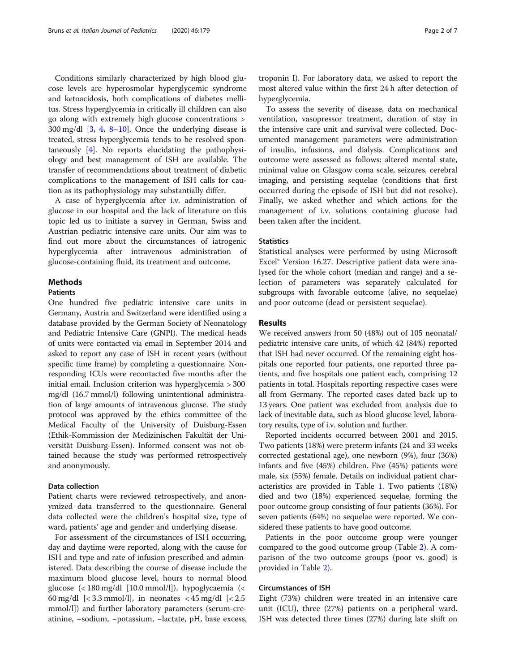Conditions similarly characterized by high blood glucose levels are hyperosmolar hyperglycemic syndrome and ketoacidosis, both complications of diabetes mellitus. Stress hyperglycemia in critically ill children can also go along with extremely high glucose concentrations >  $300 \text{ mg/dl}$  [\[3](#page-5-0), [4,](#page-5-0) [8](#page-6-0)–[10](#page-6-0)]. Once the underlying disease is treated, stress hyperglycemia tends to be resolved spontaneously [\[4](#page-5-0)]. No reports elucidating the pathophysiology and best management of ISH are available. The transfer of recommendations about treatment of diabetic complications to the management of ISH calls for caution as its pathophysiology may substantially differ.

A case of hyperglycemia after i.v. administration of glucose in our hospital and the lack of literature on this topic led us to initiate a survey in German, Swiss and Austrian pediatric intensive care units. Our aim was to find out more about the circumstances of iatrogenic hyperglycemia after intravenous administration of glucose-containing fluid, its treatment and outcome.

## Methods

## Patients

One hundred five pediatric intensive care units in Germany, Austria and Switzerland were identified using a database provided by the German Society of Neonatology and Pediatric Intensive Care (GNPI). The medical heads of units were contacted via email in September 2014 and asked to report any case of ISH in recent years (without specific time frame) by completing a questionnaire. Nonresponding ICUs were recontacted five months after the initial email. Inclusion criterion was hyperglycemia > 300 mg/dl (16.7 mmol/l) following unintentional administration of large amounts of intravenous glucose. The study protocol was approved by the ethics committee of the Medical Faculty of the University of Duisburg-Essen (Ethik-Kommission der Medizinischen Fakultät der Universität Duisburg-Essen). Informed consent was not obtained because the study was performed retrospectively and anonymously.

## Data collection

Patient charts were reviewed retrospectively, and anonymized data transferred to the questionnaire. General data collected were the children's hospital size, type of ward, patients' age and gender and underlying disease.

For assessment of the circumstances of ISH occurring, day and daytime were reported, along with the cause for ISH and type and rate of infusion prescribed and administered. Data describing the course of disease include the maximum blood glucose level, hours to normal blood glucose (< 180 mg/dl [10.0 mmol/l]), hypoglycaemia (< 60 mg/dl  $\left[$  < 3.3 mmol/l], in neonates < 45 mg/dl  $\left[$  < 2.5 mmol/l]) and further laboratory parameters (serum-creatinine, −sodium, −potassium, −lactate, pH, base excess,

troponin I). For laboratory data, we asked to report the most altered value within the first 24 h after detection of hyperglycemia.

To assess the severity of disease, data on mechanical ventilation, vasopressor treatment, duration of stay in the intensive care unit and survival were collected. Documented management parameters were administration of insulin, infusions, and dialysis. Complications and outcome were assessed as follows: altered mental state, minimal value on Glasgow coma scale, seizures, cerebral imaging, and persisting sequelae (conditions that first occurred during the episode of ISH but did not resolve). Finally, we asked whether and which actions for the management of i.v. solutions containing glucose had been taken after the incident.

## **Statistics**

Statistical analyses were performed by using Microsoft Excel® Version 16.27. Descriptive patient data were analysed for the whole cohort (median and range) and a selection of parameters was separately calculated for subgroups with favorable outcome (alive, no sequelae) and poor outcome (dead or persistent sequelae).

#### Results

We received answers from 50 (48%) out of 105 neonatal/ pediatric intensive care units, of which 42 (84%) reported that ISH had never occurred. Of the remaining eight hospitals one reported four patients, one reported three patients, and five hospitals one patient each, comprising 12 patients in total. Hospitals reporting respective cases were all from Germany. The reported cases dated back up to 13 years. One patient was excluded from analysis due to lack of inevitable data, such as blood glucose level, laboratory results, type of i.v. solution and further.

Reported incidents occurred between 2001 and 2015. Two patients (18%) were preterm infants (24 and 33 weeks corrected gestational age), one newborn (9%), four (36%) infants and five (45%) children. Five (45%) patients were male, six (55%) female. Details on individual patient characteristics are provided in Table [1](#page-2-0). Two patients (18%) died and two (18%) experienced sequelae, forming the poor outcome group consisting of four patients (36%). For seven patients (64%) no sequelae were reported. We considered these patients to have good outcome.

Patients in the poor outcome group were younger compared to the good outcome group (Table [2\)](#page-3-0). A comparison of the two outcome groups (poor vs. good) is provided in Table [2](#page-3-0)).

## Circumstances of ISH

Eight (73%) children were treated in an intensive care unit (ICU), three (27%) patients on a peripheral ward. ISH was detected three times (27%) during late shift on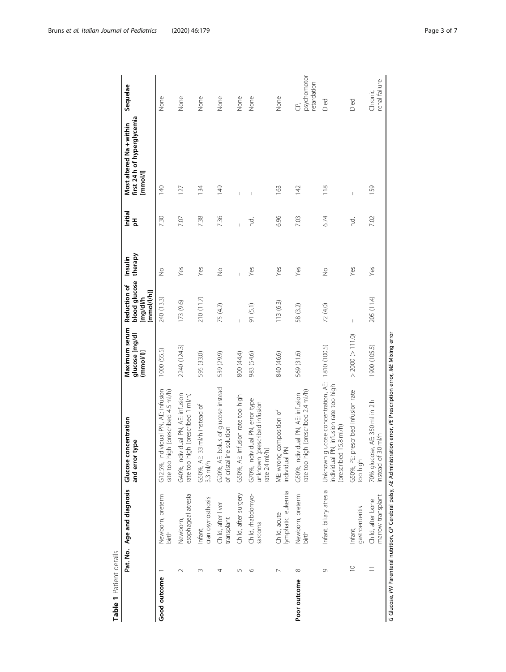<span id="page-2-0"></span>

|              |             |                                        | Pat. No. Age and diagnosis Glucose concentration<br>type<br>and error                                                  | Maximum serum<br>glucose [mg/dl<br>(mmol/l) | blood glucose<br>Reduction of<br>(mmol/l/h)]<br>Img/dl/h | therapy<br>Insulin | Initial<br>핌 | Most altered Na + within<br>first 24 h of hyperglycemia<br>[mmol] | Sequelae                         |
|--------------|-------------|----------------------------------------|------------------------------------------------------------------------------------------------------------------------|---------------------------------------------|----------------------------------------------------------|--------------------|--------------|-------------------------------------------------------------------|----------------------------------|
| Good outcome |             | Newborn, preterm<br>birth              | G12.5%, individual PN, AE: infusion<br>igh (prescribed 4.5 ml/h)<br>rate too h                                         | 1000 (55.5)                                 | 240 (13.3)                                               | $\frac{1}{2}$      | 7.30         | 140                                                               | None                             |
|              | $\sim$      | esophageal atresia<br>Newborn,         | G40%, individual PN, AE: infusion<br>rate too high (prescribed 1 ml/h)                                                 | 2240 (124.3)                                | 173 (9.6)                                                | Yes                | 7.07         | 127                                                               | None                             |
|              |             | craniosynosthosis<br>Infant,           | 33 ml/h instead of<br>G50%, AE:<br>$3.3$ ml/h                                                                          | 595 (33.0)                                  | 210 (11.7)                                               | Yes                | 7.38         | 134                                                               | None                             |
|              | 4           | Child, after liver<br>transplant       | G20%, AE: bolus of glucose instead<br>ne solution<br>of cristallir                                                     | 539 (29.9)                                  | 75 (4.2)                                                 | $\frac{1}{2}$      | 7.36         | $\frac{49}{5}$                                                    | None                             |
|              | 5           | Child, after surgery                   | G50%, AE: infusion rate too high                                                                                       | 800 (44.4)                                  |                                                          |                    |              |                                                                   | None                             |
|              | ١C          | Child, rhabdomyo-<br>sarcoma           | G70%, individual PN, error type<br>unknown (prescribed infusion<br>rate 24 ml/h)                                       | 983 (54.6)                                  | 91 (5.1)                                                 | Yes                | d<br>C       |                                                                   | None                             |
|              |             | lymphatic leukemia<br>Child, acute     | ME: wrong composition of<br>$\leq$<br>individual                                                                       | 840 (46.6)                                  | 113(6.3)                                                 | Yes                | 6.96         | 163                                                               | None                             |
| Poor outcome | $\infty$    | Newborn, preterm<br>birth              | igh (prescribed 2.4 ml/h)<br>G50%, individual PN, AE: infusion<br>rate too hi                                          | 569 (31.6)                                  | 58 (3.2)                                                 | Yes                | 7.03         | $\frac{4}{2}$                                                     | psychomotor<br>retardation<br>G, |
|              | G           | Infant, biliary atresia                | glucose concentration, AE:<br>individual PN, infusion rate too high<br>(prescribed 15.8 ml/h)<br>Unknown               | 1810 (100.5)                                | 72 (4.0)                                                 | $\frac{1}{2}$      | 6.74         | 118                                                               | Died                             |
|              | $\supseteq$ | gastroenteritis<br>Infant,             | prescribed infusion rate<br>G50%, PE:<br>too high                                                                      | $>$ 2000 $(> 111.0)$                        | $\overline{\phantom{a}}$                                 | Yes                | c.<br>C      | $\overline{1}$                                                    | Died                             |
|              | Ξ           | marrow transplant<br>Child, after bone | 70% glucose, AE: 350 ml in 2 h<br>$30$ m $/h$<br>instead of                                                            | 1900 (105.5)                                | 205 (11.4)                                               | Yes                | 7.02         | 159                                                               | renal failure<br>Chronic         |
|              |             |                                        | G Glucose, PN Parenteral nutrition, CP Cerebral palsy, AE Administration error, PE Prescription error, ME Mixing error |                                             |                                                          |                    |              |                                                                   |                                  |

Table 1 Patient details Table 1 Patient details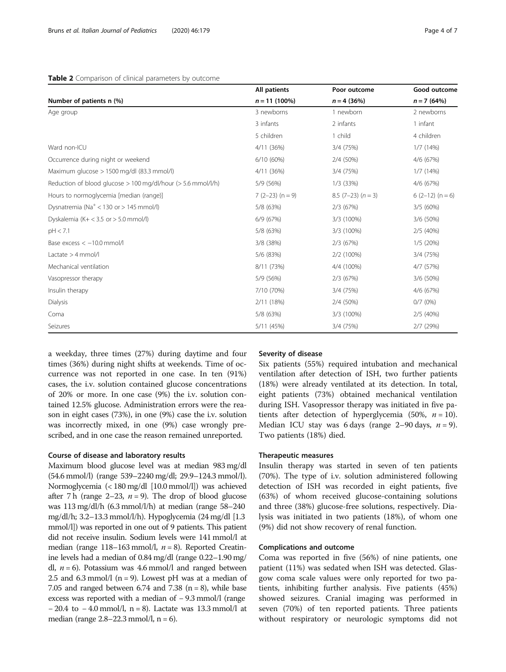#### <span id="page-3-0"></span>Table 2 Comparison of clinical parameters by outcome

|                                                              | All patients      | Poor outcome             | Good outcome      |
|--------------------------------------------------------------|-------------------|--------------------------|-------------------|
| Number of patients n (%)                                     | $n = 11(100\%)$   | $n = 4$ (36%)            | $n = 7(64%)$      |
| Age group                                                    | 3 newborns        | 1 newborn                | 2 newborns        |
|                                                              | 3 infants         | 2 infants                | 1 infant          |
|                                                              | 5 children        | 1 child                  | 4 children        |
| Ward non-ICU                                                 | 4/11 (36%)        | 3/4 (75%)                | 1/7(14%)          |
| Occurrence during night or weekend                           | 6/10 (60%)        | 2/4 (50%)                | 4/6 (67%)         |
| Maximum glucose > 1500 mg/dl (83.3 mmol/l)                   | 4/11 (36%)        | 3/4 (75%)                | 1/7(14%)          |
| Reduction of blood glucose > 100 mg/dl/hour (> 5.6 mmol/l/h) | 5/9 (56%)         | $1/3$ (33%)              | 4/6 (67%)         |
| Hours to normoglycemia [median (range)]                      | $7(2-23)$ (n = 9) | $8.5$ (7-23) ( $n = 3$ ) | $6(2-12)$ (n = 6) |
| Dysnatremia ( $Na+ < 130$ or $> 145$ mmol/l)                 | 5/8 (63%)         | 2/3(67%)                 | 3/5(60%)          |
| Dyskalemia (K+ < 3.5 or > 5.0 mmol/l)                        | 6/9 (67%)         | 3/3 (100%)               | 3/6 (50%)         |
| pH < 7.1                                                     | 5/8 (63%)         | 3/3 (100%)               | 2/5 (40%)         |
| Base excess < -10.0 mmol/l                                   | 3/8 (38%)         | 2/3 (67%)                | 1/5(20%)          |
| Lactate $>$ 4 mmol/l                                         | 5/6 (83%)         | 2/2 (100%)               | 3/4 (75%)         |
| Mechanical ventilation                                       | 8/11 (73%)        | 4/4 (100%)               | 4/7 (57%)         |
| Vasopressor therapy                                          | 5/9 (56%)         | 2/3 (67%)                | 3/6 (50%)         |
| Insulin therapy                                              | 7/10 (70%)        | 3/4 (75%)                | 4/6 (67%)         |
| Dialysis                                                     | 2/11 (18%)        | 2/4 (50%)                | $0/7$ (0%)        |
| Coma                                                         | 5/8 (63%)         | 3/3 (100%)               | 2/5 (40%)         |
| Seizures                                                     | 5/11 (45%)        | 3/4 (75%)                | 2/7(29%)          |

a weekday, three times (27%) during daytime and four times (36%) during night shifts at weekends. Time of occurrence was not reported in one case. In ten (91%) cases, the i.v. solution contained glucose concentrations of 20% or more. In one case (9%) the i.v. solution contained 12.5% glucose. Administration errors were the reason in eight cases (73%), in one (9%) case the i.v. solution was incorrectly mixed, in one (9%) case wrongly prescribed, and in one case the reason remained unreported.

## Course of disease and laboratory results

Maximum blood glucose level was at median 983 mg/dl (54.6 mmol/l) (range 539–2240 mg/dl; 29.9–124.3 mmol/l). Normoglycemia (< 180 mg/dl [10.0 mmol/l]) was achieved after 7 h (range 2–23,  $n = 9$ ). The drop of blood glucose was 113 mg/dl/h (6.3 mmol/l/h) at median (range 58–240 mg/dl/h; 3.2–13.3 mmol/l/h). Hypoglycemia (24 mg/dl [1.3 mmol/l]) was reported in one out of 9 patients. This patient did not receive insulin. Sodium levels were 141 mmol/l at median (range 118–163 mmol/l,  $n = 8$ ). Reported Creatinine levels had a median of 0.84 mg/dl (range 0.22–1.90 mg/ dl,  $n = 6$ ). Potassium was 4.6 mmol/l and ranged between 2.5 and 6.3 mmol/l ( $n = 9$ ). Lowest pH was at a median of 7.05 and ranged between 6.74 and 7.38  $(n = 8)$ , while base excess was reported with a median of − 9.3 mmol/l (range − 20.4 to − 4.0 mmol/l, n = 8). Lactate was 13.3 mmol/l at median (range  $2.8 - 22.3$  mmol/l,  $n = 6$ ).

### Severity of disease

Six patients (55%) required intubation and mechanical ventilation after detection of ISH, two further patients (18%) were already ventilated at its detection. In total, eight patients (73%) obtained mechanical ventilation during ISH. Vasopressor therapy was initiated in five patients after detection of hyperglycemia (50%,  $n = 10$ ). Median ICU stay was 6 days (range 2–90 days,  $n = 9$ ). Two patients (18%) died.

## Therapeutic measures

Insulin therapy was started in seven of ten patients (70%). The type of i.v. solution administered following detection of ISH was recorded in eight patients, five (63%) of whom received glucose-containing solutions and three (38%) glucose-free solutions, respectively. Dialysis was initiated in two patients (18%), of whom one (9%) did not show recovery of renal function.

## Complications and outcome

Coma was reported in five (56%) of nine patients, one patient (11%) was sedated when ISH was detected. Glasgow coma scale values were only reported for two patients, inhibiting further analysis. Five patients (45%) showed seizures. Cranial imaging was performed in seven (70%) of ten reported patients. Three patients without respiratory or neurologic symptoms did not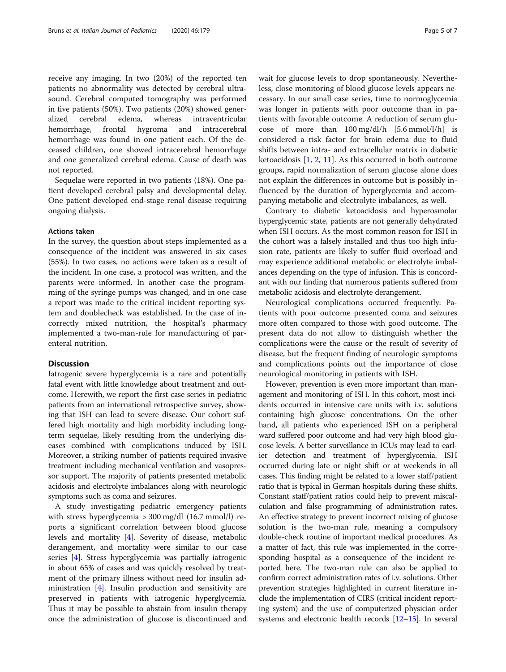receive any imaging. In two (20%) of the reported ten patients no abnormality was detected by cerebral ultrasound. Cerebral computed tomography was performed in five patients (50%). Two patients (20%) showed generalized cerebral edema, whereas intraventricular hemorrhage, frontal hygroma and intracerebral hemorrhage was found in one patient each. Of the deceased children, one showed intracerebral hemorrhage and one generalized cerebral edema. Cause of death was not reported.

Sequelae were reported in two patients (18%). One patient developed cerebral palsy and developmental delay. One patient developed end-stage renal disease requiring ongoing dialysis.

### Actions taken

In the survey, the question about steps implemented as a consequence of the incident was answered in six cases (55%). In two cases, no actions were taken as a result of the incident. In one case, a protocol was written, and the parents were informed. In another case the programming of the syringe pumps was changed, and in one case a report was made to the critical incident reporting system and doublecheck was established. In the case of incorrectly mixed nutrition, the hospital's pharmacy implemented a two-man-rule for manufacturing of parenteral nutrition.

## Discussion

Iatrogenic severe hyperglycemia is a rare and potentially fatal event with little knowledge about treatment and outcome. Herewith, we report the first case series in pediatric patients from an international retrospective survey, showing that ISH can lead to severe disease. Our cohort suffered high mortality and high morbidity including longterm sequelae, likely resulting from the underlying diseases combined with complications induced by ISH. Moreover, a striking number of patients required invasive treatment including mechanical ventilation and vasopressor support. The majority of patients presented metabolic acidosis and electrolyte imbalances along with neurologic symptoms such as coma and seizures.

A study investigating pediatric emergency patients with stress hyperglycemia  $>$  300 mg/dl (16.7 mmol/l) reports a significant correlation between blood glucose levels and mortality [\[4](#page-5-0)]. Severity of disease, metabolic derangement, and mortality were similar to our case series [[4\]](#page-5-0). Stress hyperglycemia was partially iatrogenic in about 65% of cases and was quickly resolved by treatment of the primary illness without need for insulin administration [[4\]](#page-5-0). Insulin production and sensitivity are preserved in patients with iatrogenic hyperglycemia. Thus it may be possible to abstain from insulin therapy once the administration of glucose is discontinued and wait for glucose levels to drop spontaneously. Nevertheless, close monitoring of blood glucose levels appears necessary. In our small case series, time to normoglycemia was longer in patients with poor outcome than in patients with favorable outcome. A reduction of serum glucose of more than  $100 \text{ mg/dl/h}$  [5.6 mmol/l/h] is considered a risk factor for brain edema due to fluid shifts between intra- and extracellular matrix in diabetic ketoacidosis [\[1](#page-5-0), [2](#page-5-0), [11\]](#page-6-0). As this occurred in both outcome groups, rapid normalization of serum glucose alone does not explain the differences in outcome but is possibly influenced by the duration of hyperglycemia and accompanying metabolic and electrolyte imbalances, as well.

Contrary to diabetic ketoacidosis and hyperosmolar hyperglycemic state, patients are not generally dehydrated when ISH occurs. As the most common reason for ISH in the cohort was a falsely installed and thus too high infusion rate, patients are likely to suffer fluid overload and may experience additional metabolic or electrolyte imbalances depending on the type of infusion. This is concordant with our finding that numerous patients suffered from metabolic acidosis and electrolyte derangement.

Neurological complications occurred frequently: Patients with poor outcome presented coma and seizures more often compared to those with good outcome. The present data do not allow to distinguish whether the complications were the cause or the result of severity of disease, but the frequent finding of neurologic symptoms and complications points out the importance of close neurological monitoring in patients with ISH.

However, prevention is even more important than management and monitoring of ISH. In this cohort, most incidents occurred in intensive care units with i.v. solutions containing high glucose concentrations. On the other hand, all patients who experienced ISH on a peripheral ward suffered poor outcome and had very high blood glucose levels. A better surveillance in ICUs may lead to earlier detection and treatment of hyperglycemia. ISH occurred during late or night shift or at weekends in all cases. This finding might be related to a lower staff/patient ratio that is typical in German hospitals during these shifts. Constant staff/patient ratios could help to prevent miscalculation and false programming of administration rates. An effective strategy to prevent incorrect mixing of glucose solution is the two-man rule, meaning a compulsory double-check routine of important medical procedures. As a matter of fact, this rule was implemented in the corresponding hospital as a consequence of the incident reported here. The two-man rule can also be applied to confirm correct administration rates of i.v. solutions. Other prevention strategies highlighted in current literature include the implementation of CIRS (critical incident reporting system) and the use of computerized physician order systems and electronic health records [\[12](#page-6-0)–[15](#page-6-0)]. In several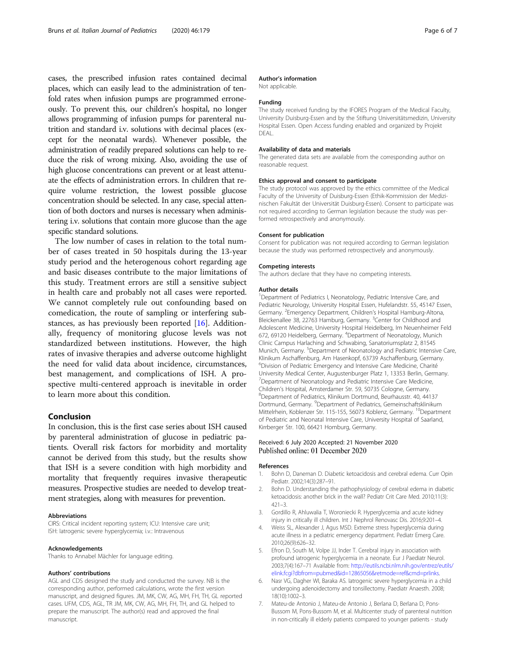<span id="page-5-0"></span>cases, the prescribed infusion rates contained decimal places, which can easily lead to the administration of tenfold rates when infusion pumps are programmed erroneously. To prevent this, our children's hospital, no longer allows programming of infusion pumps for parenteral nutrition and standard i.v. solutions with decimal places (except for the neonatal wards). Whenever possible, the administration of readily prepared solutions can help to reduce the risk of wrong mixing. Also, avoiding the use of high glucose concentrations can prevent or at least attenuate the effects of administration errors. In children that require volume restriction, the lowest possible glucose concentration should be selected. In any case, special attention of both doctors and nurses is necessary when administering i.v. solutions that contain more glucose than the age specific standard solutions.

The low number of cases in relation to the total number of cases treated in 50 hospitals during the 13-year study period and the heterogenous cohort regarding age and basic diseases contribute to the major limitations of this study. Treatment errors are still a sensitive subject in health care and probably not all cases were reported. We cannot completely rule out confounding based on comedication, the route of sampling or interfering substances, as has previously been reported [[16\]](#page-6-0). Additionally, frequency of monitoring glucose levels was not standardized between institutions. However, the high rates of invasive therapies and adverse outcome highlight the need for valid data about incidence, circumstances, best management, and complications of ISH. A prospective multi-centered approach is inevitable in order to learn more about this condition.

## Conclusion

In conclusion, this is the first case series about ISH caused by parenteral administration of glucose in pediatric patients. Overall risk factors for morbidity and mortality cannot be derived from this study, but the results show that ISH is a severe condition with high morbidity and mortality that frequently requires invasive therapeutic measures. Prospective studies are needed to develop treatment strategies, along with measures for prevention.

#### Abbreviations

CIRS: Critical incident reporting system; ICU: Intensive care unit; ISH: Iatrogenic severe hyperglycemia; i.v.: Intravenous

#### Acknowledgements

Thanks to Annabel Mächler for language editing.

#### Authors' contributions

AGL and CDS designed the study and conducted the survey. NB is the corresponding author, performed calculations, wrote the first version manuscript, and designed figures. JM, MK, CW, AG, MH, FH, TH, GL reported cases. UFM, CDS, AGL, TR JM, MK, CW, AG, MH, FH, TH, and GL helped to prepare the manuscript. The author(s) read and approved the final manuscript.

### Author's information

Not applicable.

#### Funding

The study received funding by the IFORES Program of the Medical Faculty, University Duisburg-Essen and by the Stiftung Universitätsmedizin, University Hospital Essen. Open Access funding enabled and organized by Projekt DEAL.

#### Availability of data and materials

The generated data sets are available from the corresponding author on reasonable request.

#### Ethics approval and consent to participate

The study protocol was approved by the ethics committee of the Medical Faculty of the University of Duisburg-Essen (Ethik-Kommission der Medizinischen Fakultät der Universität Duisburg-Essen). Consent to participate was not required according to German legislation because the study was performed retrospectively and anonymously.

#### Consent for publication

Consent for publication was not required according to German legislation because the study was performed retrospectively and anonymously.

#### Competing interests

The authors declare that they have no competing interests.

#### Author details

<sup>1</sup>Department of Pediatrics I, Neonatology, Pediatric Intensive Care, and Pediatric Neurology, University Hospital Essen, Hufelandstr. 55, 45147 Essen, Germany. <sup>2</sup> Emergency Department, Children's Hospital Hamburg-Altona, Bleickenallee 38, 22763 Hamburg, Germany. <sup>3</sup>Center for Childhood and Adolescent Medicine, University Hospital Heidelberg, Im Neuenheimer Feld 672, 69120 Heidelberg, Germany. <sup>4</sup>Department of Neonatology, Munich Clinic Campus Harlaching and Schwabing, Sanatoriumsplatz 2, 81545 Munich, Germany. <sup>5</sup>Department of Neonatology and Pediatric Intensive Care Klinikum Aschaffenburg, Am Hasenkopf, 63739 Aschaffenburg, Germany. 6 Division of Pediatric Emergency and Intensive Care Medicine, Charité University Medical Center, Augustenburger Platz 1, 13353 Berlin, Germany. <sup>7</sup>Department of Neonatology and Pediatric Intensive Care Medicine Children's Hospital, Amsterdamer Str. 59, 50735 Cologne, Germany. Department of Pediatrics, Klinikum Dortmund, Beurhausstr. 40, 44137 Dortmund, Germany. <sup>9</sup>Department of Pediatrics, Gemeinschaftsklinikum Mittelrhein, Koblenzer Str. 115-155, 56073 Koblenz, Germany. <sup>10</sup>Department of Pediatric and Neonatal Intensive Care, University Hospital of Saarland, Kirrberger Str. 100, 66421 Homburg, Germany.

#### Received: 6 July 2020 Accepted: 21 November 2020 Published online: 01 December 2020

#### References

- 1. Bohn D, Daneman D. Diabetic ketoacidosis and cerebral edema. Curr Opin Pediatr. 2002;14(3):287–91.
- 2. Bohn D. Understanding the pathophysiology of cerebral edema in diabetic ketoacidosis: another brick in the wall? Pediatr Crit Care Med. 2010;11(3): 421–3.
- 3. Gordillo R, Ahluwalia T, Woroniecki R. Hyperglycemia and acute kidney injury in critically ill children. Int J Nephrol Renovasc Dis. 2016;9:201–4.
- 4. Weiss SL, Alexander J, Agus MSD. Extreme stress hyperglycemia during acute illness in a pediatric emergency department. Pediatr Emerg Care. 2010;26(9):626–32.
- 5. Efron D, South M, Volpe JJ, Inder T. Cerebral injury in association with profound iatrogenic hyperglycemia in a neonate. Eur J Paediatr Neurol. 2003;7(4):167–71 Available from: [http://eutils.ncbi.nlm.nih.gov/entrez/eutils/](http://eutils.ncbi.nlm.nih.gov/entrez/eutils/elink.fcgi?dbfrom=pubmed&id=12865056&retmode=ref&cmd=prlinks) [elink.fcgi?dbfrom=pubmed&id=12865056&retmode=ref&cmd=prlinks.](http://eutils.ncbi.nlm.nih.gov/entrez/eutils/elink.fcgi?dbfrom=pubmed&id=12865056&retmode=ref&cmd=prlinks)
- 6. Nasr VG, Dagher WI, Baraka AS. Iatrogenic severe hyperglycemia in a child undergoing adenoidectomy and tonsillectomy. Paediatr Anaesth. 2008; 18(10):1002–3.
- 7. Mateu-de Antonio J, Mateu-de Antonio J, Berlana D, Berlana D, Pons-Bussom M, Pons-Bussom M, et al. Multicenter study of parenteral nutrition in non-critically ill elderly patients compared to younger patients - study